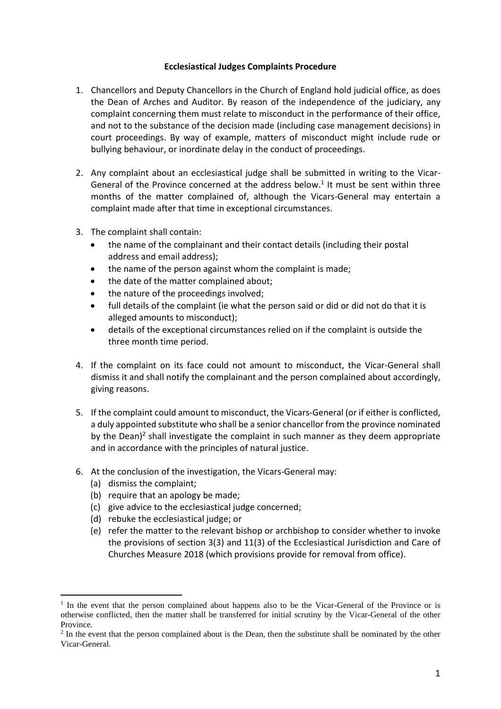## **Ecclesiastical Judges Complaints Procedure**

- 1. Chancellors and Deputy Chancellors in the Church of England hold judicial office, as does the Dean of Arches and Auditor. By reason of the independence of the judiciary, any complaint concerning them must relate to misconduct in the performance of their office, and not to the substance of the decision made (including case management decisions) in court proceedings. By way of example, matters of misconduct might include rude or bullying behaviour, or inordinate delay in the conduct of proceedings.
- 2. Any complaint about an ecclesiastical judge shall be submitted in writing to the Vicar-General of the Province concerned at the address below.<sup>1</sup> It must be sent within three months of the matter complained of, although the Vicars-General may entertain a complaint made after that time in exceptional circumstances.
- 3. The complaint shall contain:
	- the name of the complainant and their contact details (including their postal address and email address);
	- the name of the person against whom the complaint is made;
	- the date of the matter complained about;
	- the nature of the proceedings involved;
	- full details of the complaint (ie what the person said or did or did not do that it is alleged amounts to misconduct);
	- details of the exceptional circumstances relied on if the complaint is outside the three month time period.
- 4. If the complaint on its face could not amount to misconduct, the Vicar-General shall dismiss it and shall notify the complainant and the person complained about accordingly, giving reasons.
- 5. If the complaint could amount to misconduct, the Vicars-General (or if either is conflicted, a duly appointed substitute who shall be a senior chancellor from the province nominated by the Dean)<sup>2</sup> shall investigate the complaint in such manner as they deem appropriate and in accordance with the principles of natural justice.
- 6. At the conclusion of the investigation, the Vicars-General may:
	- (a) dismiss the complaint;
	- (b) require that an apology be made;
	- (c) give advice to the ecclesiastical judge concerned;
	- (d) rebuke the ecclesiastical judge; or
	- (e) refer the matter to the relevant bishop or archbishop to consider whether to invoke the provisions of section 3(3) and 11(3) of the Ecclesiastical Jurisdiction and Care of Churches Measure 2018 (which provisions provide for removal from office).

<sup>&</sup>lt;sup>1</sup> In the event that the person complained about happens also to be the Vicar-General of the Province or is otherwise conflicted, then the matter shall be transferred for initial scrutiny by the Vicar-General of the other Province.

 $2$  In the event that the person complained about is the Dean, then the substitute shall be nominated by the other Vicar-General.